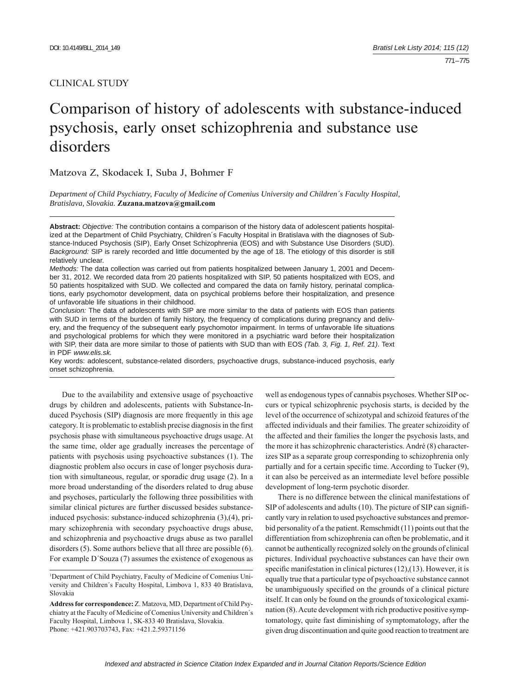# CLINICAL STUDY

# Comparison of history of adolescents with substance-induced psychosis, early onset schizophrenia and substance use disorders

Matzova Z, Skodacek I, Suba J, Bohmer F

*Department of Child Psychiatry, Faculty of Medicine of Comenius University and Children´s Faculty Hospital, Bratislava, Slovakia.* **Zuzana.matzova@gmail.com**

**Abstract:** *Objective:* The contribution contains a comparison of the history data of adolescent patients hospitalized at the Department of Child Psychiatry, Children´s Faculty Hospital in Bratislava with the diagnoses of Substance-Induced Psychosis (SIP), Early Onset Schizophrenia (EOS) and with Substance Use Disorders (SUD). *Background:* SIP is rarely recorded and little documented by the age of 18. The etiology of this disorder is still relatively unclear.

*Methods:* The data collection was carried out from patients hospitalized between January 1, 2001 and December 31, 2012. We recorded data from 20 patients hospitalized with SIP, 50 patients hospitalized with EOS, and 50 patients hospitalized with SUD. We collected and compared the data on family history, perinatal complications, early psychomotor development, data on psychical problems before their hospitalization, and presence of unfavorable life situations in their childhood.

*Conclusion:* The data of adolescents with SIP are more similar to the data of patients with EOS than patients with SUD in terms of the burden of family history, the frequency of complications during pregnancy and delivery, and the frequency of the subsequent early psychomotor impairment. In terms of unfavorable life situations and psychological problems for which they were monitored in a psychiatric ward before their hospitalization with SIP, their data are more similar to those of patients with SUD than with EOS *(Tab. 3, Fig. 1, Ref. 21)*. Text in PDF *www.elis.sk.*

Key words: adolescent, substance-related disorders, psychoactive drugs, substance-induced psychosis, early onset schizophrenia.

Due to the availability and extensive usage of psychoactive drugs by children and adolescents, patients with Substance-Induced Psychosis (SIP) diagnosis are more frequently in this age category. It is problematic to establish precise diagnosis in the first psychosis phase with simultaneous psychoactive drugs usage. At the same time, older age gradually increases the percentage of patients with psychosis using psychoactive substances (1). The diagnostic problem also occurs in case of longer psychosis duration with simultaneous, regular, or sporadic drug usage (2). In a more broad understanding of the disorders related to drug abuse and psychoses, particularly the following three possibilities with similar clinical pictures are further discussed besides substanceinduced psychosis: substance-induced schizophrenia (3),(4), primary schizophrenia with secondary psychoactive drugs abuse, and schizophrenia and psychoactive drugs abuse as two parallel disorders (5). Some authors believe that all three are possible (6). For example D´Souza (7) assumes the existence of exogenous as

well as endogenous types of cannabis psychoses. Whether SIP occurs or typical schizophrenic psychosis starts, is decided by the level of the occurrence of schizotypal and schizoid features of the affected individuals and their families. The greater schizoidity of the affected and their families the longer the psychosis lasts, and the more it has schizophrenic characteristics. André (8) characterizes SIP as a separate group corresponding to schizophrenia only partially and for a certain specific time. According to Tucker (9), it can also be perceived as an intermediate level before possible development of long-term psychotic disorder.

There is no difference between the clinical manifestations of SIP of adolescents and adults (10). The picture of SIP can significantly vary in relation to used psychoactive substances and premorbid personality of a the patient. Remschmidt (11) points out that the differentiation from schizophrenia can often be problematic, and it cannot be authentically recognized solely on the grounds of clinical pictures. Individual psychoactive substances can have their own specific manifestation in clinical pictures  $(12)$ , $(13)$ . However, it is equally true that a particular type of psychoactive substance cannot be unambiguously specified on the grounds of a clinical picture itself. It can only be found on the grounds of toxicological examination (8). Acute development with rich productive positive symptomatology, quite fast diminishing of symptomatology, after the given drug discontinuation and quite good reaction to treatment are

<sup>&</sup>lt;sup>1</sup>Department of Child Psychiatry, Faculty of Medicine of Comenius University and Children´s Faculty Hospital, Limbova 1, 833 40 Bratislava, Slovakia

**Address for correspondence:** Z. Matzova, MD, Department of Child Psychiatry at the Faculty of Medicine of Comenius University and Children´s Faculty Hospital, Limbova 1, SK-833 40 Bratislava, Slovakia. Phone: +421.903703743, Fax: +421.2.59371156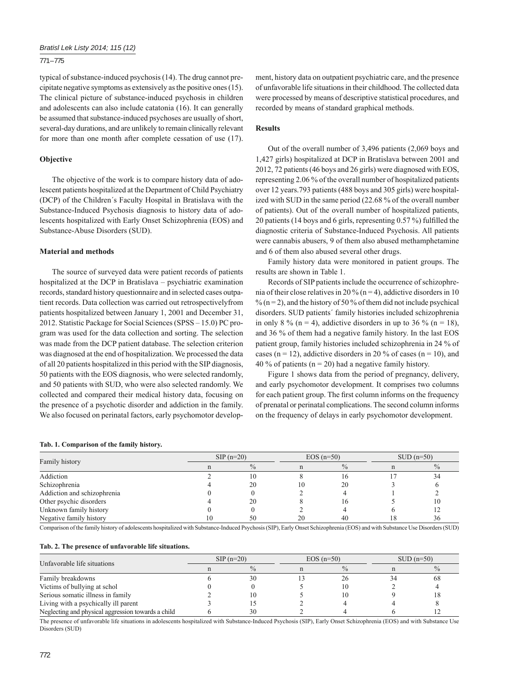## 771 – 775

typical of substance-induced psychosis (14). The drug cannot precipitate negative symptoms as extensively as the positive ones (15). The clinical picture of substance-induced psychosis in children and adolescents can also include catatonia (16). It can generally be assumed that substance-induced psychoses are usually of short, several-day durations, and are unlikely to remain clinically relevant for more than one month after complete cessation of use (17).

#### **Objective**

The objective of the work is to compare history data of adolescent patients hospitalized at the Department of Child Psychiatry (DCP) of the Children´s Faculty Hospital in Bratislava with the Substance-Induced Psychosis diagnosis to history data of adolescents hospitalized with Early Onset Schizophrenia (EOS) and Substance-Abuse Disorders (SUD).

## **Material and methods**

The source of surveyed data were patient records of patients hospitalized at the DCP in Bratislava – psychiatric examination records, standard history questionnaire and in selected cases outpatient records. Data collection was carried out retrospectivelyfrom patients hospitalized between January 1, 2001 and December 31, 2012. Statistic Package for Social Sciences (SPSS – 15.0) PC program was used for the data collection and sorting. The selection was made from the DCP patient database. The selection criterion was diagnosed at the end of hospitalization. We processed the data of all 20 patients hospitalized in this period with the SIP diagnosis, 50 patients with the EOS diagnosis, who were selected randomly, and 50 patients with SUD, who were also selected randomly. We collected and compared their medical history data, focusing on the presence of a psychotic disorder and addiction in the family. We also focused on perinatal factors, early psychomotor development, history data on outpatient psychiatric care, and the presence of unfavorable life situations in their childhood. The collected data were processed by means of descriptive statistical procedures, and recorded by means of standard graphical methods.

#### **Results**

Out of the overall number of 3,496 patients (2,069 boys and 1,427 girls) hospitalized at DCP in Bratislava between 2001 and 2012, 72 patients (46 boys and 26 girls) were diagnosed with EOS, representing 2.06 % of the overall number of hospitalized patients over 12 years.793 patients (488 boys and 305 girls) were hospitalized with SUD in the same period (22.68 % of the overall number of patients). Out of the overall number of hospitalized patients, 20 patients (14 boys and 6 girls, representing  $0.57\%$ ) fulfilled the diagnostic criteria of Substance-Induced Psychosis. All patients were cannabis abusers, 9 of them also abused methamphetamine and 6 of them also abused several other drugs.

Family history data were monitored in patient groups. The results are shown in Table 1.

Records of SIP patients include the occurrence of schizophrenia of their close relatives in 20 % (n = 4), addictive disorders in 10  $\%$  (n = 2), and the history of 50 % of them did not include psychical disorders. SUD patients´ family histories included schizophrenia in only 8 % (n = 4), addictive disorders in up to 36 % (n = 18), and 36 % of them had a negative family history. In the last EOS patient group, family histories included schizophrenia in 24 % of cases ( $n = 12$ ), addictive disorders in 20 % of cases ( $n = 10$ ), and 40 % of patients ( $n = 20$ ) had a negative family history.

Figure 1 shows data from the period of pregnancy, delivery, and early psychomotor development. It comprises two columns for each patient group. The first column informs on the frequency of prenatal or perinatal complications. The second column informs on the frequency of delays in early psychomotor development.

#### **Tab. 1. Comparison of the family history.**

|                             | $SIP(n=20)$ |               | $EOS(n=50)$ |               | $\text{SUD}$ (n=50) |               |
|-----------------------------|-------------|---------------|-------------|---------------|---------------------|---------------|
| Family history              |             | $\frac{0}{0}$ |             | $\frac{0}{0}$ |                     | $\frac{0}{0}$ |
| Addiction                   |             | l0            |             | 16            |                     | 34            |
| Schizophrenia               |             | 20            | 10          | 20            |                     |               |
| Addiction and schizophrenia |             |               |             |               |                     |               |
| Other psychic disorders     |             | 20            |             | 16            |                     |               |
| Unknown family history      |             |               |             |               |                     |               |
| Negative family history     | 10          | 50            | 20          | 40            |                     | 36            |

Comparison of the family history of adolescents hospitalized with Substance-Induced Psychosis (SIP), Early Onset Schizophrenia (EOS) and with Substance Use Disorders (SUD)

#### **Tab. 2. The presence of unfavorable life situations.**

| Unfavorable life situations                        | $SIP(n=20)$ |     | $EOS(n=50)$ |               | $SUB(n=50)$ |    |
|----------------------------------------------------|-------------|-----|-------------|---------------|-------------|----|
|                                                    |             |     |             | $\frac{0}{0}$ |             |    |
| Family breakdowns                                  |             | 30  |             | 26            |             | 68 |
| Victims of bullying at schol                       |             |     |             | 10            |             |    |
| Serious somatic illness in family                  |             | l ( |             | 10            |             |    |
| Living with a psychically ill parent               |             |     |             |               |             |    |
| Neglecting and physical aggression towards a child |             | 30  |             |               |             |    |

The presence of unfavorable life situations in adolescents hospitalized with Substance-Induced Psychosis (SIP), Early Onset Schizophrenia (EOS) and with Substance Use Disorders (SUD)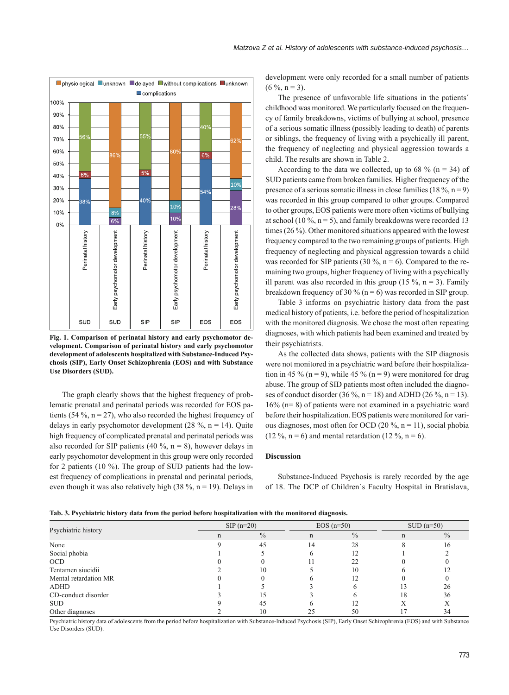



**Fig. 1. Comparison of perinatal history and early psychomotor development. Comparison of perinatal history and early psychomotor development of adolescents hospitalized with Substance-Induced Psychosis (SIP), Early Onset Schizophrenia (EOS) and with Substance Use Disorders (SUD).**

The graph clearly shows that the highest frequency of problematic prenatal and perinatal periods was recorded for EOS patients (54 %,  $n = 27$ ), who also recorded the highest frequency of delays in early psychomotor development  $(28 \, \frac{\text{°}}{\text{°}})$ , n = 14). Quite high frequency of complicated prenatal and perinatal periods was also recorded for SIP patients (40 %,  $n = 8$ ), however delays in early psychomotor development in this group were only recorded for 2 patients (10 %). The group of SUD patients had the lowest frequency of complications in prenatal and perinatal periods, even though it was also relatively high (38 %,  $n = 19$ ). Delays in

development were only recorded for a small number of patients  $(6 \%, n = 3)$ .

The presence of unfavorable life situations in the patients´ childhood was monitored. We particularly focused on the frequency of family breakdowns, victims of bullying at school, presence of a serious somatic illness (possibly leading to death) of parents or siblings, the frequency of living with a psychically ill parent, the frequency of neglecting and physical aggression towards a child. The results are shown in Table 2.

According to the data we collected, up to 68 % ( $n = 34$ ) of SUD patients came from broken families. Higher frequency of the presence of a serious somatic illness in close families (18 %,  $n = 9$ ) was recorded in this group compared to other groups. Compared to other groups, EOS patients were more often victims of bullying at school (10 %,  $n = 5$ ), and family breakdowns were recorded 13 times (26 %). Other monitored situations appeared with the lowest frequency compared to the two remaining groups of patients. High frequency of neglecting and physical aggression towards a child was recorded for SIP patients (30 %,  $n = 6$ ). Compared to the remaining two groups, higher frequency of living with a psychically ill parent was also recorded in this group (15 %,  $n = 3$ ). Family breakdown frequency of 30 % ( $n = 6$ ) was recorded in SIP group.

Table 3 informs on psychiatric history data from the past medical history of patients, i.e. before the period of hospitalization with the monitored diagnosis. We chose the most often repeating diagnoses, with which patients had been examined and treated by their psychiatrists.

As the collected data shows, patients with the SIP diagnosis were not monitored in a psychiatric ward before their hospitalization in 45 % (n = 9), while 45 % (n = 9) were monitored for drug abuse. The group of SID patients most often included the diagnoses of conduct disorder (36 %, n = 18) and ADHD (26 %, n = 13). 16% (n= 8) of patients were not examined in a psychiatric ward before their hospitalization. EOS patients were monitored for various diagnoses, most often for OCD (20 %,  $n = 11$ ), social phobia  $(12 \%, n = 6)$  and mental retardation  $(12 \%, n = 6)$ .

#### **Discussion**

Substance-Induced Psychosis is rarely recorded by the age of 18. The DCP of Children´s Faculty Hospital in Bratislava,

|  |  | Tab. 3. Psychiatric history data from the period before hospitalization with the monitored diagnosis. |  |
|--|--|-------------------------------------------------------------------------------------------------------|--|
|  |  |                                                                                                       |  |

| Psychiatric history   | $SIP(n=20)$ |               | $EOS(n=50)$ |               | $\text{SUD}$ (n=50) |               |
|-----------------------|-------------|---------------|-------------|---------------|---------------------|---------------|
|                       | n           | $\frac{0}{0}$ | n           | $\frac{0}{0}$ | n                   | $\frac{0}{0}$ |
| None                  |             | 45            | 14          | 28            |                     |               |
| Social phobia         |             |               |             |               |                     |               |
| <b>OCD</b>            |             |               |             | 22            |                     |               |
| Tentamen siucidii     |             | 10            |             | 10            |                     |               |
| Mental retardation MR |             |               |             | 12            |                     |               |
| <b>ADHD</b>           |             |               |             |               |                     | 26            |
| CD-conduct disorder   |             |               |             |               | 18                  | 36            |
| <b>SUD</b>            |             | 45            |             |               |                     |               |
| Other diagnoses       |             | 10            |             | 50            |                     | 34            |

Psychiatric history data of adolescents from the period before hospitalization with Substance-Induced Psychosis (SIP), Early Onset Schizophrenia (EOS) and with Substance Use Disorders (SUD).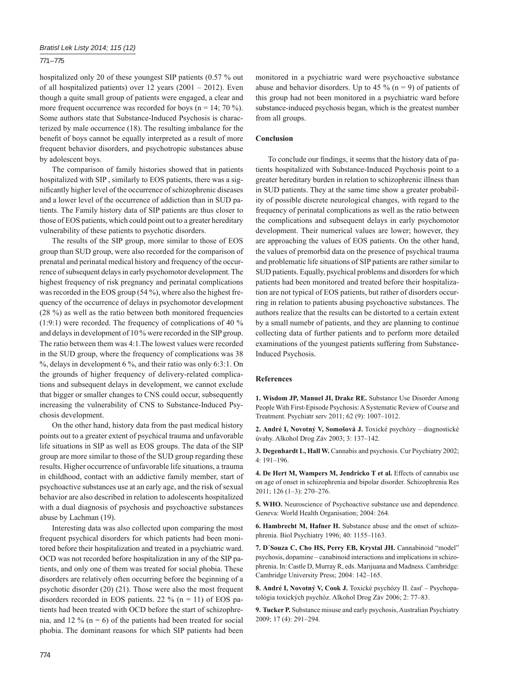#### 771 – 775

hospitalized only 20 of these youngest SIP patients (0.57 % out of all hospitalized patients) over 12 years (2001 – 2012). Even though a quite small group of patients were engaged, a clear and more frequent occurrence was recorded for boys ( $n = 14$ ; 70 %). Some authors state that Substance-Induced Psychosis is characterized by male occurrence (18). The resulting imbalance for the benefit of boys cannot be equally interpreted as a result of more frequent behavior disorders, and psychotropic substances abuse by adolescent boys.

The comparison of family histories showed that in patients hospitalized with SIP , similarly to EOS patients, there was a significantly higher level of the occurrence of schizophrenic diseases and a lower level of the occurrence of addiction than in SUD patients. The Family history data of SIP patients are thus closer to those of EOS patients, which could point out to a greater hereditary vulnerability of these patients to psychotic disorders.

The results of the SIP group, more similar to those of EOS group than SUD group, were also recorded for the comparison of prenatal and perinatal medical history and frequency of the occurrence of subsequent delays in early psychomotor development. The highest frequency of risk pregnancy and perinatal complications was recorded in the EOS group (54 %), where also the highest frequency of the occurrence of delays in psychomotor development (28 %) as well as the ratio between both monitored frequencies (1:9:1) were recorded. The frequency of complications of 40 % and delays in development of 10 % were recorded in the SIP group. The ratio between them was 4:1.The lowest values were recorded in the SUD group, where the frequency of complications was 38 %, delays in development 6 %, and their ratio was only 6:3:1. On the grounds of higher frequency of delivery-related complications and subsequent delays in development, we cannot exclude that bigger or smaller changes to CNS could occur, subsequently increasing the vulnerability of CNS to Substance-Induced Psychosis development.

On the other hand, history data from the past medical history points out to a greater extent of psychical trauma and unfavorable life situations in SIP as well as EOS groups. The data of the SIP group are more similar to those of the SUD group regarding these results. Higher occurrence of unfavorable life situations, a trauma in childhood, contact with an addictive family member, start of psychoactive substances use at an early age, and the risk of sexual behavior are also described in relation to adolescents hospitalized with a dual diagnosis of psychosis and psychoactive substances abuse by Lachman (19).

Interesting data was also collected upon comparing the most frequent psychical disorders for which patients had been monitored before their hospitalization and treated in a psychiatric ward. OCD was not recorded before hospitalization in any of the SIP patients, and only one of them was treated for social phobia. These disorders are relatively often occurring before the beginning of a psychotic disorder (20) (21). Those were also the most frequent disorders recorded in EOS patients. 22  $\%$  (n = 11) of EOS patients had been treated with OCD before the start of schizophrenia, and 12 % ( $n = 6$ ) of the patients had been treated for social phobia. The dominant reasons for which SIP patients had been monitored in a psychiatric ward were psychoactive substance abuse and behavior disorders. Up to 45 % ( $n = 9$ ) of patients of this group had not been monitored in a psychiatric ward before substance-induced psychosis began, which is the greatest number from all groups.

## **Conclusion**

To conclude our findings, it seems that the history data of patients hospitalized with Substance-Induced Psychosis point to a greater hereditary burden in relation to schizophrenic illness than in SUD patients. They at the same time show a greater probability of possible discrete neurological changes, with regard to the frequency of perinatal complications as well as the ratio between the complications and subsequent delays in early psychomotor development. Their numerical values are lower; however, they are approaching the values of EOS patients. On the other hand, the values of premorbid data on the presence of psychical trauma and problematic life situations of SIP patients are rather similar to SUD patients. Equally, psychical problems and disorders for which patients had been monitored and treated before their hospitalization are not typical of EOS patients, but rather of disorders occurring in relation to patients abusing psychoactive substances. The authors realize that the results can be distorted to a certain extent by a small numebr of patients, and they are planning to continue collecting data of further patients and to perform more detailed examinations of the youngest patients suffering from Substance-Induced Psychosis.

## **References**

**1. Wisdom JP, Manuel JI, Drake RE.** Substance Use Disorder Among People With First-Episode Psychosis: A Systematic Review of Course and Treatment. Psychiatr serv 2011; 62 (9): 1007–1012.

**2. André I, Novotný V, Somošová J.** Toxické psychózy – diagnostické úvahy. Alkohol Drog Záv 2003; 3: 137–142.

**3. Degenhardt L, Hall W.** Cannabis and psychosis. Cur Psychiatry 2002; 4: 191–196.

**4. De Hert M, Wampers M, Jendricko T et al.** Effects of cannabis use on age of onset in schizophrenia and bipolar disorder. Schizophrenia Res 2011; 126 (1–3): 270–276.

**5. WHO.** Neuroscience of Psychoactive substance use and dependence. Geneva: World Health Organisation; 2004: 264.

**6. Hambrecht M, Hafner H.** Substance abuse and the onset of schizophrenia. Biol Psychiatry 1996; 40: 1155–1163.

**7. D´Souza C, Cho HS, Perry EB, Krystal JH.** Cannabinoid "model" psychosis, dopamine – canabinoid interactions and implications in schizophrenia. In: Castle D, Murray R, eds. Marijuana and Madness. Cambridge: Cambridge University Press; 2004: 142–165.

**8. André I, Novotný V, Cook J.** Toxické psychózy II. časť – Psychopatológia toxických psychóz. Alkohol Drog Záv 2006; 2: 77–83.

**9. Tucker P.** Substance misuse and early psychosis, Australian Psychiatry 2009; 17 (4): 291–294.